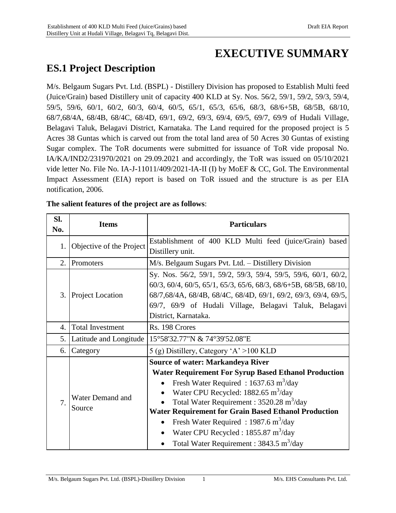# **EXECUTIVE SUMMARY**

# **ES.1 Project Description**

M/s. Belgaum Sugars Pvt. Ltd. (BSPL) - Distillery Division has proposed to Establish Multi feed (Juice/Grain) based Distillery unit of capacity 400 KLD at Sy. Nos. 56/2, 59/1, 59/2, 59/3, 59/4, 59/5, 59/6, 60/1, 60/2, 60/3, 60/4, 60/5, 65/1, 65/3, 65/6, 68/3, 68/6+5B, 68/5B, 68/10, 68/7,68/4A, 68/4B, 68/4C, 68/4D, 69/1, 69/2, 69/3, 69/4, 69/5, 69/7, 69/9 of Hudali Village, Belagavi Taluk, Belagavi District, Karnataka. The Land required for the proposed project is 5 Acres 38 Guntas which is carved out from the total land area of 50 Acres 30 Guntas of existing Sugar complex. The ToR documents were submitted for issuance of ToR vide proposal No. IA/KA/IND2/231970/2021 on 29.09.2021 and accordingly, the ToR was issued on 05/10/2021 vide letter No. File No. IA-J-11011/409/2021-IA-II (I) by MoEF & CC, GoI. The Environmental Impact Assessment (EIA) report is based on ToR issued and the structure is as per EIA notification, 2006.

| SI.<br>No. | <b>Items</b>               | <b>Particulars</b>                                                                                                                                                                                                                                                                                                                                                                                                                                                                                                         |  |  |
|------------|----------------------------|----------------------------------------------------------------------------------------------------------------------------------------------------------------------------------------------------------------------------------------------------------------------------------------------------------------------------------------------------------------------------------------------------------------------------------------------------------------------------------------------------------------------------|--|--|
| 1.         | Objective of the Project   | Establishment of 400 KLD Multi feed (juice/Grain) based<br>Distillery unit.                                                                                                                                                                                                                                                                                                                                                                                                                                                |  |  |
| 2.         | Promoters                  | M/s. Belgaum Sugars Pvt. Ltd. - Distillery Division                                                                                                                                                                                                                                                                                                                                                                                                                                                                        |  |  |
| 3.         | <b>Project Location</b>    | Sy. Nos. 56/2, 59/1, 59/2, 59/3, 59/4, 59/5, 59/6, 60/1, 60/2,<br>$60/3$ , $60/4$ , $60/5$ , $65/1$ , $65/3$ , $65/6$ , $68/3$ , $68/6+5B$ , $68/5B$ , $68/10$ ,<br>68/7,68/4A, 68/4B, 68/4C, 68/4D, 69/1, 69/2, 69/3, 69/4, 69/5,<br>69/7, 69/9 of Hudali Village, Belagavi Taluk, Belagavi<br>District, Karnataka.                                                                                                                                                                                                       |  |  |
| 4.         | <b>Total Investment</b>    | Rs. 198 Crores                                                                                                                                                                                                                                                                                                                                                                                                                                                                                                             |  |  |
| 5.         | Latitude and Longitude     | 15°58'32.77"N & 74°39'52.08"E                                                                                                                                                                                                                                                                                                                                                                                                                                                                                              |  |  |
| 6.         | Category                   | 5 (g) Distillery, Category 'A' > 100 KLD                                                                                                                                                                                                                                                                                                                                                                                                                                                                                   |  |  |
| 7.         | Water Demand and<br>Source | <b>Source of water: Markandeya River</b><br><b>Water Requirement For Syrup Based Ethanol Production</b><br>Fresh Water Required: $1637.63 \text{ m}^3/\text{day}$<br>Water CPU Recycled: 1882.65 m <sup>3</sup> /day<br>Total Water Requirement : $3520.28 \text{ m}^3/\text{day}$<br><b>Water Requirement for Grain Based Ethanol Production</b><br>Fresh Water Required: $1987.6 \text{ m}^3/\text{day}$<br>Water CPU Recycled: 1855.87 m <sup>3</sup> /day<br>Total Water Requirement : $3843.5 \text{ m}^3/\text{day}$ |  |  |

#### **The salient features of the project are as follows**: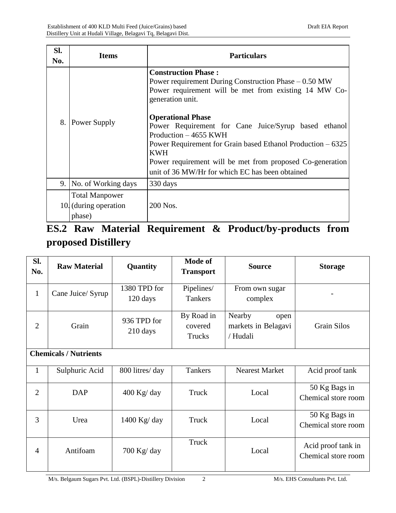| SI.<br>No. | <b>Items</b>                                             | <b>Particulars</b>                                                                                                                                                                                                                                                                                                                                                                                                                                                          |
|------------|----------------------------------------------------------|-----------------------------------------------------------------------------------------------------------------------------------------------------------------------------------------------------------------------------------------------------------------------------------------------------------------------------------------------------------------------------------------------------------------------------------------------------------------------------|
| 8.         | Power Supply                                             | <b>Construction Phase:</b><br>Power requirement During Construction Phase $-0.50$ MW<br>Power requirement will be met from existing 14 MW Co-<br>generation unit.<br><b>Operational Phase</b><br>Power Requirement for Cane Juice/Syrup based ethanol<br>Production - 4655 KWH<br>Power Requirement for Grain based Ethanol Production – 6325<br><b>KWH</b><br>Power requirement will be met from proposed Co-generation<br>unit of 36 MW/Hr for which EC has been obtained |
| 9.         | No. of Working days                                      | 330 days                                                                                                                                                                                                                                                                                                                                                                                                                                                                    |
|            | <b>Total Manpower</b><br>10. (during operation<br>phase) | 200 Nos.                                                                                                                                                                                                                                                                                                                                                                                                                                                                    |

# **ES.2 Raw Material Requirement & Product/by-products from proposed Distillery**

| SI.<br>No.     | <b>Raw Material</b>          | Quantity                 | <b>Mode of</b><br><b>Transport</b> | <b>Source</b>                                     | <b>Storage</b>                            |
|----------------|------------------------------|--------------------------|------------------------------------|---------------------------------------------------|-------------------------------------------|
| $\mathbf{1}$   | Cane Juice/ Syrup            | 1380 TPD for<br>120 days | Pipelines/<br><b>Tankers</b>       | From own sugar<br>complex                         |                                           |
| $\overline{2}$ | Grain                        | 936 TPD for<br>210 days  | By Road in<br>covered<br>Trucks    | Nearby<br>open<br>markets in Belagavi<br>/ Hudali | <b>Grain Silos</b>                        |
|                | <b>Chemicals / Nutrients</b> |                          |                                    |                                                   |                                           |
| $\mathbf{1}$   | Sulphuric Acid               | 800 litres/day           | <b>Tankers</b>                     | <b>Nearest Market</b>                             | Acid proof tank                           |
| $\overline{2}$ | <b>DAP</b>                   | $400$ Kg/day             | Truck                              | Local                                             | 50 Kg Bags in<br>Chemical store room      |
| 3              | Urea                         | 1400 Kg/ day             | Truck                              | Local                                             | 50 Kg Bags in<br>Chemical store room      |
| 4              | Antifoam                     | $700$ Kg/day             | Truck                              | Local                                             | Acid proof tank in<br>Chemical store room |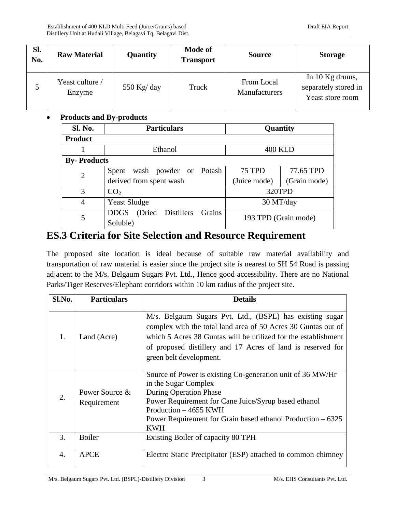| SI.<br>No. | <b>Raw Material</b>       | Quantity    | <b>Mode of</b><br><b>Transport</b> | <b>Source</b>               | <b>Storage</b>                                              |
|------------|---------------------------|-------------|------------------------------------|-----------------------------|-------------------------------------------------------------|
|            | Yeast culture /<br>Enzyme | 550 Kg/ day | Truck                              | From Local<br>Manufacturers | In 10 Kg drums,<br>separately stored in<br>Yeast store room |

#### **Products and By-products**

| <b>Sl. No.</b>     | <b>Particulars</b>                         | Quantity                     |  |
|--------------------|--------------------------------------------|------------------------------|--|
| <b>Product</b>     |                                            |                              |  |
|                    | Ethanol                                    | <b>400 KLD</b>               |  |
| <b>By-Products</b> |                                            |                              |  |
| $\overline{2}$     | wash powder or Potash<br>Spent             | 75 TPD<br>77.65 TPD          |  |
|                    | derived from spent wash                    | (Grain mode)<br>(Juice mode) |  |
| 3                  | CO <sub>2</sub>                            | 320TPD                       |  |
| $\overline{4}$     | <b>Yeast Sludge</b>                        | 30 MT/day                    |  |
| 5                  | (Dried Distillers<br><b>DDGS</b><br>Grains |                              |  |
|                    | Soluble)                                   | 193 TPD (Grain mode)         |  |

## **ES.3 Criteria for Site Selection and Resource Requirement**

The proposed site location is ideal because of suitable raw material availability and transportation of raw material is easier since the project site is nearest to SH 54 Road is passing adjacent to the M/s. Belgaum Sugars Pvt. Ltd., Hence good accessibility. There are no National Parks/Tiger Reserves/Elephant corridors within 10 km radius of the project site.

| Sl.No.           | <b>Particulars</b>            | <b>Details</b>                                                                                                                                                                                                                                                                        |
|------------------|-------------------------------|---------------------------------------------------------------------------------------------------------------------------------------------------------------------------------------------------------------------------------------------------------------------------------------|
| 1.               | Land (Acre)                   | M/s. Belgaum Sugars Pvt. Ltd., (BSPL) has existing sugar<br>complex with the total land area of 50 Acres 30 Guntas out of<br>which 5 Acres 38 Guntas will be utilized for the establishment<br>of proposed distillery and 17 Acres of land is reserved for<br>green belt development. |
| 2.               | Power Source &<br>Requirement | Source of Power is existing Co-generation unit of 36 MW/Hr<br>in the Sugar Complex<br><b>During Operation Phase</b><br>Power Requirement for Cane Juice/Syrup based ethanol<br>Production $-4655$ KWH<br>Power Requirement for Grain based ethanol Production $-6325$<br><b>KWH</b>   |
| 3.               | <b>Boiler</b>                 | Existing Boiler of capacity 80 TPH                                                                                                                                                                                                                                                    |
| $\overline{4}$ . | <b>APCE</b>                   | Electro Static Precipitator (ESP) attached to common chimney                                                                                                                                                                                                                          |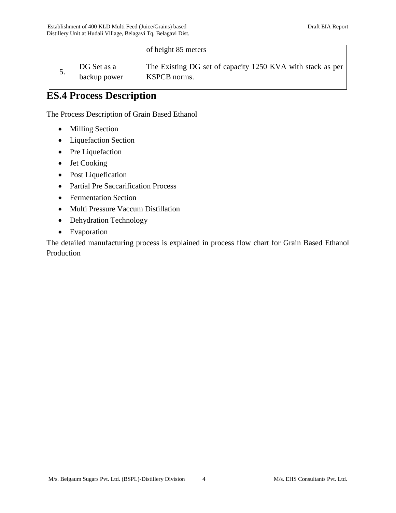|    |                             | of height 85 meters                                                        |
|----|-----------------------------|----------------------------------------------------------------------------|
| J. | DG Set as a<br>backup power | The Existing DG set of capacity 1250 KVA with stack as per<br>KSPCB norms. |

# **ES.4 Process Description**

The Process Description of Grain Based Ethanol

- Milling Section
- Liquefaction Section
- Pre Liquefaction
- Jet Cooking
- Post Liquefication
- Partial Pre Saccarification Process
- Fermentation Section
- Multi Pressure Vaccum Distillation
- Dehydration Technology
- Evaporation

The detailed manufacturing process is explained in process flow chart for Grain Based Ethanol Production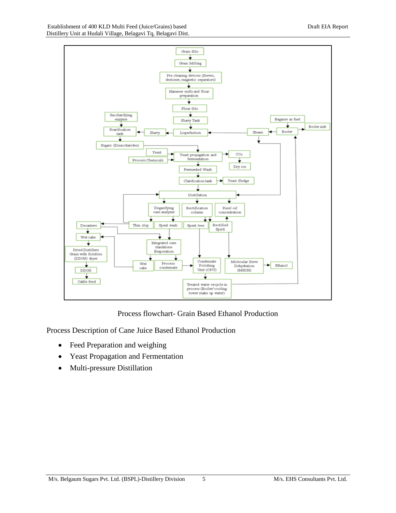

Process flowchart- Grain Based Ethanol Production

Process Description of Cane Juice Based Ethanol Production

- Feed Preparation and weighing
- Yeast Propagation and Fermentation
- Multi-pressure Distillation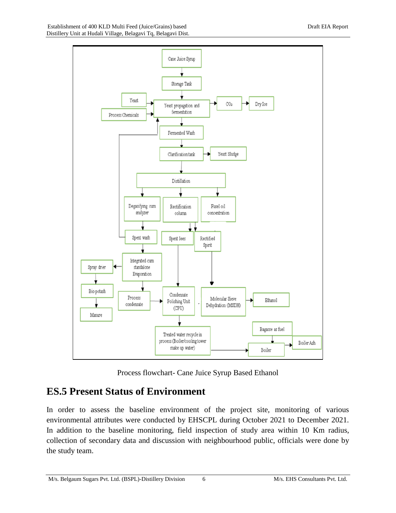

Process flowchart- Cane Juice Syrup Based Ethanol

# **ES.5 Present Status of Environment**

In order to assess the baseline environment of the project site, monitoring of various environmental attributes were conducted by EHSCPL during October 2021 to December 2021. In addition to the baseline monitoring, field inspection of study area within 10 Km radius, collection of secondary data and discussion with neighbourhood public, officials were done by the study team.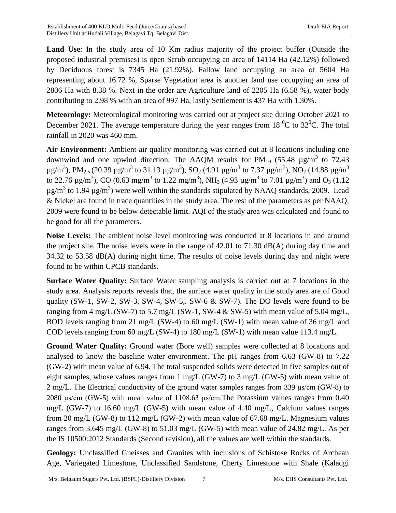**Land Use**: In the study area of 10 Km radius majority of the project buffer (Outside the proposed industrial premises) is open Scrub occupying an area of 14114 Ha (42.12%) followed by Deciduous forest is 7345 Ha (21.92%). Fallow land occupying an area of 5604 Ha representing about 16.72 %, Sparse Vegetation area is another land use occupying an area of 2806 Ha with 8.38 %. Next in the order are Agriculture land of 2205 Ha (6.58 %), water body contributing to 2.98 % with an area of 997 Ha, lastly Settlement is 437 Ha with 1.30%.

**Meteorology:** Meteorological monitoring was carried out at project site during October 2021 to December 2021. The average temperature during the year ranges from 18  $^{\circ}$ C to 32 $^{\circ}$ C. The total rainfall in 2020 was 460 mm.

**Air Environment:** Ambient air quality monitoring was carried out at 8 locations including one downwind and one upwind direction. The AAQM results for  $PM_{10}$  (55.48  $\mu$ g/m<sup>3</sup> to 72.43 μg/m<sup>3</sup>), PM<sub>2.5</sub> (20.39 μg/m<sup>3</sup> to 31.13 μg/m<sup>3</sup>), SO<sub>2</sub> (4.91 μg/m<sup>3</sup> to 7.37 μg/m<sup>3</sup>), NO<sub>2</sub> (14.88 μg/m<sup>3</sup> to 22.76  $\mu$ g/m<sup>3</sup>), CO (0.63 mg/m<sup>3</sup> to 1.22 mg/m<sup>3</sup>), NH<sub>3</sub> (4.93  $\mu$ g/m<sup>3</sup> to 7.01  $\mu$ g/m<sup>3</sup>) and O<sub>3</sub> (1.12  $\mu$ g/m<sup>3</sup> to 1.94  $\mu$ g/m<sup>3</sup>) were well within the standards stipulated by NAAQ standards, 2009. Lead & Nickel are found in trace quantities in the study area. The rest of the parameters as per NAAQ, 2009 were found to be below detectable limit. AQI of the study area was calculated and found to be good for all the parameters.

**Noise Levels:** The ambient noise level monitoring was conducted at 8 locations in and around the project site. The noise levels were in the range of 42.01 to 71.30 dB(A) during day time and 34.32 to 53.58 dB(A) during night time. The results of noise levels during day and night were found to be within CPCB standards.

**Surface Water Quality:** Surface Water sampling analysis is carried out at 7 locations in the study area. Analysis reports reveals that, the surface water quality in the study area are of Good quality (SW-1, SW-2, SW-3, SW-4, SW-5,. SW-6 & SW-7). The DO levels were found to be ranging from 4 mg/L (SW-7) to 5.7 mg/L (SW-1, SW-4  $&$  SW-5) with mean value of 5.04 mg/L, BOD levels ranging from 21 mg/L (SW-4) to 60 mg/L (SW-1) with mean value of 36 mg/L and COD levels ranging from 60 mg/L (SW-4) to 180 mg/L (SW-1) with mean value 113.4 mg/L.

**Ground Water Quality:** Ground water (Bore well) samples were collected at 8 locations and analysed to know the baseline water environment. The pH ranges from 6.63 (GW-8) to 7.22 (GW-2) with mean value of 6.94. The total suspended solids were detected in five samples out of eight samples, whose values ranges from 1 mg/L (GW-7) to 3 mg/L (GW-5) with mean value of 2 mg/L. The Electrical conductivity of the ground water samples ranges from 339 μs/cm (GW-8) to 2080 μs/cm (GW-5) with mean value of 1108.63 μs/cm.The Potassium values ranges from 0.40 mg/L (GW-7) to 16.60 mg/L (GW-5) with mean value of 4.40 mg/L, Calcium values ranges from 20 mg/L (GW-8) to 112 mg/L (GW-2) with mean value of 67.68 mg/L. Magnesium values ranges from 3.645 mg/L (GW-8) to 51.03 mg/L (GW-5) with mean value of 24.82 mg/L. As per the IS 10500:2012 Standards (Second revision), all the values are well within the standards.

**Geology:** Unclassified Gneisses and Granites with inclusions of Schistose Rocks of Archean Age, Variegated Limestone, Unclassified Sandstone, Cherty Limestone with Shale (Kaladgi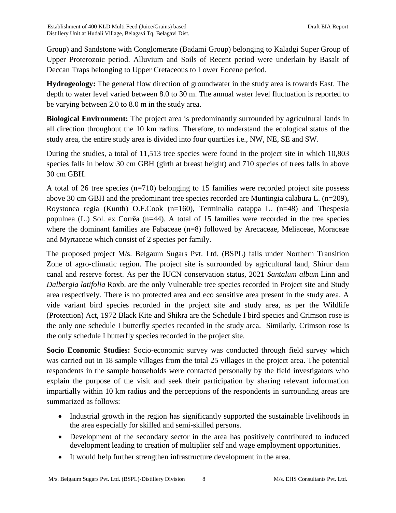Group) and Sandstone with Conglomerate (Badami Group) belonging to Kaladgi Super Group of Upper Proterozoic period. Alluvium and Soils of Recent period were underlain by Basalt of Deccan Traps belonging to Upper Cretaceous to Lower Eocene period.

**Hydrogeology:** The general flow direction of groundwater in the study area is towards East. The depth to water level varied between 8.0 to 30 m. The annual water level fluctuation is reported to be varying between 2.0 to 8.0 m in the study area.

**Biological Environment:** The project area is predominantly surrounded by agricultural lands in all direction throughout the 10 km radius. Therefore, to understand the ecological status of the study area, the entire study area is divided into four quartiles i.e., NW, NE, SE and SW.

During the studies, a total of 11,513 tree species were found in the project site in which 10,803 species falls in below 30 cm GBH (girth at breast height) and 710 species of trees falls in above 30 cm GBH.

A total of 26 tree species (n=710) belonging to 15 families were recorded project site possess above 30 cm GBH and the predominant tree species recorded are Muntingia calabura L. (n=209), Roystonea regia (Kunth) O.F.Cook (n=160), Terminalia catappa L. (n=48) and Thespesia populnea (L.) Sol. ex Corrêa (n=44). A total of 15 families were recorded in the tree species where the dominant families are Fabaceae (n=8) followed by Arecaceae, Meliaceae, Moraceae and Myrtaceae which consist of 2 species per family.

The proposed project M/s. Belgaum Sugars Pvt. Ltd. (BSPL) falls under Northern Transition Zone of agro-climatic region. The project site is surrounded by agricultural land, Shirur dam canal and reserve forest. As per the IUCN conservation status, 2021 *Santalum album* Linn and *Dalbergia latifolia* Roxb. are the only Vulnerable tree species recorded in Project site and Study area respectively. There is no protected area and eco sensitive area present in the study area. A vide variant bird species recorded in the project site and study area, as per the Wildlife (Protection) Act, 1972 Black Kite and Shikra are the Schedule I bird species and Crimson rose is the only one schedule I butterfly species recorded in the study area. Similarly, Crimson rose is the only schedule I butterfly species recorded in the project site.

**Socio Economic Studies:** Socio-economic survey was conducted through field survey which was carried out in 18 sample villages from the total 25 villages in the project area. The potential respondents in the sample households were contacted personally by the field investigators who explain the purpose of the visit and seek their participation by sharing relevant information impartially within 10 km radius and the perceptions of the respondents in surrounding areas are summarized as follows:

- Industrial growth in the region has significantly supported the sustainable livelihoods in the area especially for skilled and semi-skilled persons.
- Development of the secondary sector in the area has positively contributed to induced development leading to creation of multiplier self and wage employment opportunities.
- It would help further strengthen infrastructure development in the area.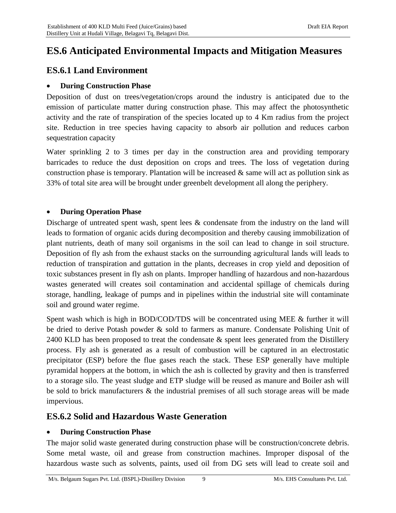# **ES.6 Anticipated Environmental Impacts and Mitigation Measures**

## **ES.6.1 Land Environment**

#### **During Construction Phase**

Deposition of dust on trees/vegetation/crops around the industry is anticipated due to the emission of particulate matter during construction phase. This may affect the photosynthetic activity and the rate of transpiration of the species located up to 4 Km radius from the project site. Reduction in tree species having capacity to absorb air pollution and reduces carbon sequestration capacity

Water sprinkling 2 to 3 times per day in the construction area and providing temporary barricades to reduce the dust deposition on crops and trees. The loss of vegetation during construction phase is temporary. Plantation will be increased  $\&$  same will act as pollution sink as 33% of total site area will be brought under greenbelt development all along the periphery.

#### **During Operation Phase**

Discharge of untreated spent wash, spent lees & condensate from the industry on the land will leads to formation of organic acids during decomposition and thereby causing immobilization of plant nutrients, death of many soil organisms in the soil can lead to change in soil structure. Deposition of fly ash from the exhaust stacks on the surrounding agricultural lands will leads to reduction of transpiration and guttation in the plants, decreases in crop yield and deposition of toxic substances present in fly ash on plants. Improper handling of hazardous and non-hazardous wastes generated will creates soil contamination and accidental spillage of chemicals during storage, handling, leakage of pumps and in pipelines within the industrial site will contaminate soil and ground water regime.

Spent wash which is high in BOD/COD/TDS will be concentrated using MEE & further it will be dried to derive Potash powder & sold to farmers as manure. Condensate Polishing Unit of 2400 KLD has been proposed to treat the condensate & spent lees generated from the Distillery process. Fly ash is generated as a result of combustion will be captured in an electrostatic precipitator (ESP) before the flue gases reach the stack. These ESP generally have multiple pyramidal hoppers at the bottom, in which the ash is collected by gravity and then is transferred to a storage silo. The yeast sludge and ETP sludge will be reused as manure and Boiler ash will be sold to brick manufacturers & the industrial premises of all such storage areas will be made impervious.

### **ES.6.2 Solid and Hazardous Waste Generation**

#### **During Construction Phase**

The major solid waste generated during construction phase will be construction/concrete debris. Some metal waste, oil and grease from construction machines. Improper disposal of the hazardous waste such as solvents, paints, used oil from DG sets will lead to create soil and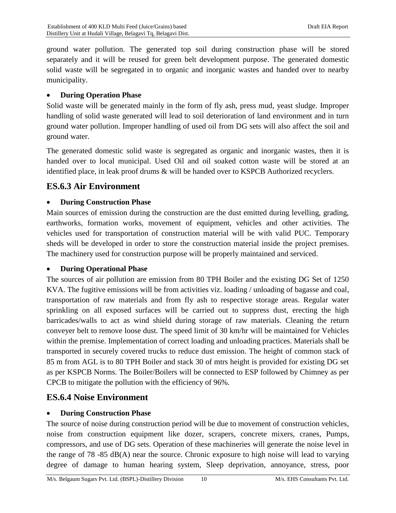ground water pollution. The generated top soil during construction phase will be stored separately and it will be reused for green belt development purpose. The generated domestic solid waste will be segregated in to organic and inorganic wastes and handed over to nearby municipality.

#### **During Operation Phase**

Solid waste will be generated mainly in the form of fly ash, press mud, yeast sludge. Improper handling of solid waste generated will lead to soil deterioration of land environment and in turn ground water pollution. Improper handling of used oil from DG sets will also affect the soil and ground water.

The generated domestic solid waste is segregated as organic and inorganic wastes, then it is handed over to local municipal. Used Oil and oil soaked cotton waste will be stored at an identified place, in leak proof drums & will be handed over to KSPCB Authorized recyclers.

## **ES.6.3 Air Environment**

#### **During Construction Phase**

Main sources of emission during the construction are the dust emitted during levelling, grading, earthworks, formation works, movement of equipment, vehicles and other activities. The vehicles used for transportation of construction material will be with valid PUC. Temporary sheds will be developed in order to store the construction material inside the project premises. The machinery used for construction purpose will be properly maintained and serviced.

#### **During Operational Phase**

The sources of air pollution are emission from 80 TPH Boiler and the existing DG Set of 1250 KVA. The fugitive emissions will be from activities viz. loading / unloading of bagasse and coal, transportation of raw materials and from fly ash to respective storage areas. Regular water sprinkling on all exposed surfaces will be carried out to suppress dust, erecting the high barricades/walls to act as wind shield during storage of raw materials. Cleaning the return conveyer belt to remove loose dust. The speed limit of 30 km/hr will be maintained for Vehicles within the premise. Implementation of correct loading and unloading practices. Materials shall be transported in securely covered trucks to reduce dust emission. The height of common stack of 85 m from AGL is to 80 TPH Boiler and stack 30 of mtrs height is provided for existing DG set as per KSPCB Norms. The Boiler/Boilers will be connected to ESP followed by Chimney as per CPCB to mitigate the pollution with the efficiency of 96%.

### **ES.6.4 Noise Environment**

#### **During Construction Phase**

The source of noise during construction period will be due to movement of construction vehicles, noise from construction equipment like dozer, scrapers, concrete mixers, cranes, Pumps, compressors, and use of DG sets. Operation of these machineries will generate the noise level in the range of 78 -85 dB(A) near the source. Chronic exposure to high noise will lead to varying degree of damage to human hearing system, Sleep deprivation, annoyance, stress, poor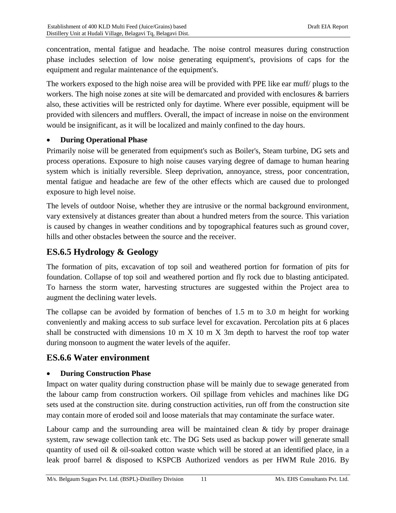concentration, mental fatigue and headache. The noise control measures during construction phase includes selection of low noise generating equipment's, provisions of caps for the equipment and regular maintenance of the equipment's.

The workers exposed to the high noise area will be provided with PPE like ear muff/ plugs to the workers. The high noise zones at site will be demarcated and provided with enclosures & barriers also, these activities will be restricted only for daytime. Where ever possible, equipment will be provided with silencers and mufflers. Overall, the impact of increase in noise on the environment would be insignificant, as it will be localized and mainly confined to the day hours.

#### **During Operational Phase**

Primarily noise will be generated from equipment's such as Boiler's, Steam turbine, DG sets and process operations. Exposure to high noise causes varying degree of damage to human hearing system which is initially reversible. Sleep deprivation, annoyance, stress, poor concentration, mental fatigue and headache are few of the other effects which are caused due to prolonged exposure to high level noise.

The levels of outdoor Noise, whether they are intrusive or the normal background environment, vary extensively at distances greater than about a hundred meters from the source. This variation is caused by changes in weather conditions and by topographical features such as ground cover, hills and other obstacles between the source and the receiver.

## **ES.6.5 Hydrology & Geology**

The formation of pits, excavation of top soil and weathered portion for formation of pits for foundation. Collapse of top soil and weathered portion and fly rock due to blasting anticipated. To harness the storm water, harvesting structures are suggested within the Project area to augment the declining water levels.

The collapse can be avoided by formation of benches of 1.5 m to 3.0 m height for working conveniently and making access to sub surface level for excavation. Percolation pits at 6 places shall be constructed with dimensions  $10 \text{ m} \times 10 \text{ m} \times 3\text{ m}$  depth to harvest the roof top water during monsoon to augment the water levels of the aquifer.

## **ES.6.6 Water environment**

#### **During Construction Phase**

Impact on water quality during construction phase will be mainly due to sewage generated from the labour camp from construction workers. Oil spillage from vehicles and machines like DG sets used at the construction site. during construction activities, run off from the construction site may contain more of eroded soil and loose materials that may contaminate the surface water.

Labour camp and the surrounding area will be maintained clean  $\&$  tidy by proper drainage system, raw sewage collection tank etc. The DG Sets used as backup power will generate small quantity of used oil  $\&$  oil-soaked cotton waste which will be stored at an identified place, in a leak proof barrel & disposed to KSPCB Authorized vendors as per HWM Rule 2016. By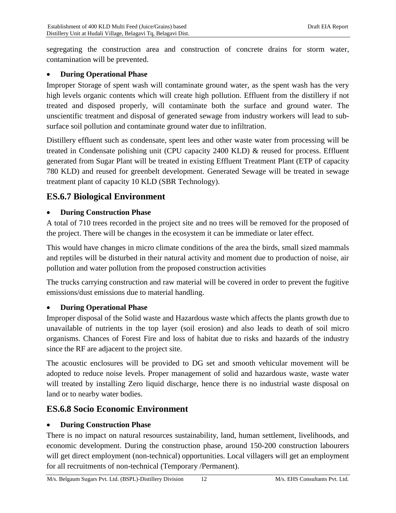segregating the construction area and construction of concrete drains for storm water, contamination will be prevented.

#### **During Operational Phase**

Improper Storage of spent wash will contaminate ground water, as the spent wash has the very high levels organic contents which will create high pollution. Effluent from the distillery if not treated and disposed properly, will contaminate both the surface and ground water. The unscientific treatment and disposal of generated sewage from industry workers will lead to subsurface soil pollution and contaminate ground water due to infiltration.

Distillery effluent such as condensate, spent lees and other waste water from processing will be treated in Condensate polishing unit (CPU capacity 2400 KLD) & reused for process. Effluent generated from Sugar Plant will be treated in existing Effluent Treatment Plant (ETP of capacity 780 KLD) and reused for greenbelt development. Generated Sewage will be treated in sewage treatment plant of capacity 10 KLD (SBR Technology).

### **ES.6.7 Biological Environment**

#### **During Construction Phase**

A total of 710 trees recorded in the project site and no trees will be removed for the proposed of the project. There will be changes in the ecosystem it can be immediate or later effect.

This would have changes in micro climate conditions of the area the birds, small sized mammals and reptiles will be disturbed in their natural activity and moment due to production of noise, air pollution and water pollution from the proposed construction activities

The trucks carrying construction and raw material will be covered in order to prevent the fugitive emissions/dust emissions due to material handling.

#### **During Operational Phase**

Improper disposal of the Solid waste and Hazardous waste which affects the plants growth due to unavailable of nutrients in the top layer (soil erosion) and also leads to death of soil micro organisms. Chances of Forest Fire and loss of habitat due to risks and hazards of the industry since the RF are adjacent to the project site.

The acoustic enclosures will be provided to DG set and smooth vehicular movement will be adopted to reduce noise levels. Proper management of solid and hazardous waste, waste water will treated by installing Zero liquid discharge, hence there is no industrial waste disposal on land or to nearby water bodies.

### **ES.6.8 Socio Economic Environment**

#### **During Construction Phase**

There is no impact on natural resources sustainability, land, human settlement, livelihoods, and economic development. During the construction phase, around 150-200 construction labourers will get direct employment (non-technical) opportunities. Local villagers will get an employment for all recruitments of non-technical (Temporary /Permanent).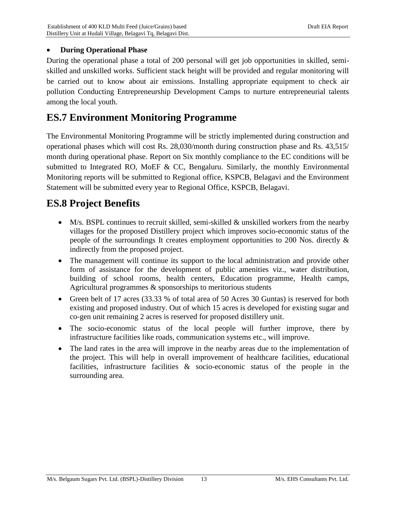### **During Operational Phase**

During the operational phase a total of 200 personal will get job opportunities in skilled, semiskilled and unskilled works. Sufficient stack height will be provided and regular monitoring will be carried out to know about air emissions. Installing appropriate equipment to check air pollution Conducting Entrepreneurship Development Camps to nurture entrepreneurial talents among the local youth.

# **ES.7 Environment Monitoring Programme**

The Environmental Monitoring Programme will be strictly implemented during construction and operational phases which will cost Rs. 28,030/month during construction phase and Rs. 43,515/ month during operational phase. Report on Six monthly compliance to the EC conditions will be submitted to Integrated RO, MoEF & CC, Bengaluru. Similarly, the monthly Environmental Monitoring reports will be submitted to Regional office, KSPCB, Belagavi and the Environment Statement will be submitted every year to Regional Office, KSPCB, Belagavi.

# **ES.8 Project Benefits**

- M/s. BSPL continues to recruit skilled, semi-skilled & unskilled workers from the nearby villages for the proposed Distillery project which improves socio-economic status of the people of the surroundings It creates employment opportunities to 200 Nos. directly & indirectly from the proposed project.
- The management will continue its support to the local administration and provide other form of assistance for the development of public amenities viz., water distribution, building of school rooms, health centers, Education programme, Health camps, Agricultural programmes & sponsorships to meritorious students
- Green belt of 17 acres (33.33 % of total area of 50 Acres 30 Guntas) is reserved for both existing and proposed industry. Out of which 15 acres is developed for existing sugar and co-gen unit remaining 2 acres is reserved for proposed distillery unit.
- The socio-economic status of the local people will further improve, there by infrastructure facilities like roads, communication systems etc., will improve.
- The land rates in the area will improve in the nearby areas due to the implementation of the project. This will help in overall improvement of healthcare facilities, educational facilities, infrastructure facilities & socio-economic status of the people in the surrounding area.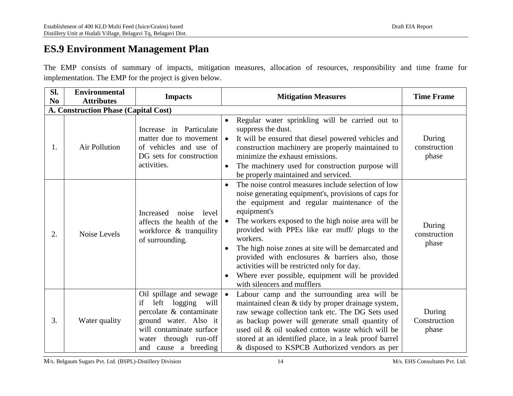# **ES.9 Environment Management Plan**

The EMP consists of summary of impacts, mitigation measures, allocation of resources, responsibility and time frame for implementation. The EMP for the project is given below.

| Sl.<br>N <sub>0</sub>                       | <b>Environmental</b><br><b>Attributes</b> | <b>Impacts</b>                                                                                                                                                                            | <b>Mitigation Measures</b>                                                                                                                                                                                                                                                                                                                                                                                                                                                                                                                                                       | <b>Time Frame</b>               |  |
|---------------------------------------------|-------------------------------------------|-------------------------------------------------------------------------------------------------------------------------------------------------------------------------------------------|----------------------------------------------------------------------------------------------------------------------------------------------------------------------------------------------------------------------------------------------------------------------------------------------------------------------------------------------------------------------------------------------------------------------------------------------------------------------------------------------------------------------------------------------------------------------------------|---------------------------------|--|
| <b>A. Construction Phase (Capital Cost)</b> |                                           |                                                                                                                                                                                           |                                                                                                                                                                                                                                                                                                                                                                                                                                                                                                                                                                                  |                                 |  |
| 1.                                          | <b>Air Pollution</b>                      | Increase in Particulate<br>matter due to movement<br>of vehicles and use of<br>DG sets for construction<br>activities.                                                                    | Regular water sprinkling will be carried out to<br>$\bullet$<br>suppress the dust.<br>It will be ensured that diesel powered vehicles and<br>$\bullet$<br>construction machinery are properly maintained to<br>minimize the exhaust emissions.<br>The machinery used for construction purpose will<br>$\bullet$<br>be properly maintained and serviced.                                                                                                                                                                                                                          | During<br>construction<br>phase |  |
| 2.                                          | Noise Levels                              | Increased<br>level<br>noise<br>affects the health of the<br>workforce & tranquility<br>of surrounding.                                                                                    | The noise control measures include selection of low<br>$\bullet$<br>noise generating equipment's, provisions of caps for<br>the equipment and regular maintenance of the<br>equipment's<br>The workers exposed to the high noise area will be<br>$\bullet$<br>provided with PPEs like ear muff/ plugs to the<br>workers.<br>The high noise zones at site will be demarcated and<br>$\bullet$<br>provided with enclosures & barriers also, those<br>activities will be restricted only for day.<br>Where ever possible, equipment will be provided<br>with silencers and mufflers | During<br>construction<br>phase |  |
| 3.                                          | Water quality                             | Oil spillage and sewage<br>logging<br>if<br>left<br>will<br>percolate & contaminate<br>ground water. Also it<br>will contaminate surface<br>water through run-off<br>and cause a breeding | Labour camp and the surrounding area will be<br>$\bullet$<br>maintained clean & tidy by proper drainage system,<br>raw sewage collection tank etc. The DG Sets used<br>as backup power will generate small quantity of<br>used oil & oil soaked cotton waste which will be<br>stored at an identified place, in a leak proof barrel<br>& disposed to KSPCB Authorized vendors as per                                                                                                                                                                                             | During<br>Construction<br>phase |  |

M/s. Belgaum Sugars Pvt. Ltd. (BSPL)-Distillery Division 14 M/s. EHS Consultants Pvt. Ltd.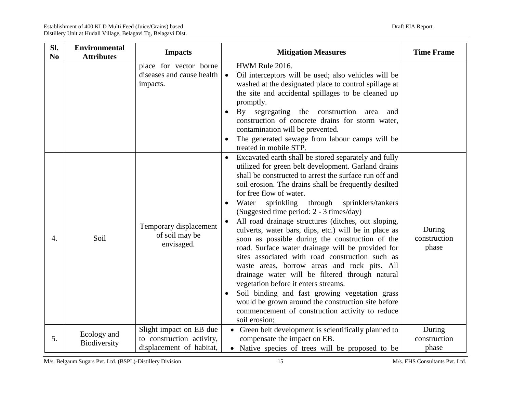| Sl.<br>N <sub>0</sub> | <b>Environmental</b><br><b>Attributes</b> | <b>Impacts</b>                                                                   | <b>Mitigation Measures</b>                                                                                                                                                                                                                                                                                                                                                                                                                                                                                                                                                                                                                                                                                                                                                                                                                                                                                                                                                                             | <b>Time Frame</b>               |
|-----------------------|-------------------------------------------|----------------------------------------------------------------------------------|--------------------------------------------------------------------------------------------------------------------------------------------------------------------------------------------------------------------------------------------------------------------------------------------------------------------------------------------------------------------------------------------------------------------------------------------------------------------------------------------------------------------------------------------------------------------------------------------------------------------------------------------------------------------------------------------------------------------------------------------------------------------------------------------------------------------------------------------------------------------------------------------------------------------------------------------------------------------------------------------------------|---------------------------------|
|                       |                                           | place for vector borne<br>diseases and cause health<br>impacts.                  | HWM Rule 2016.<br>$\bullet$<br>Oil interceptors will be used; also vehicles will be<br>washed at the designated place to control spillage at<br>the site and accidental spillages to be cleaned up<br>promptly.<br>By<br>segregating the construction<br>area<br>$\bullet$<br>and<br>construction of concrete drains for storm water,<br>contamination will be prevented.<br>The generated sewage from labour camps will be<br>treated in mobile STP.                                                                                                                                                                                                                                                                                                                                                                                                                                                                                                                                                  |                                 |
| $\overline{4}$ .      | Soil                                      | Temporary displacement<br>of soil may be<br>envisaged.                           | Excavated earth shall be stored separately and fully<br>$\bullet$<br>utilized for green belt development. Garland drains<br>shall be constructed to arrest the surface run off and<br>soil erosion. The drains shall be frequently desilted<br>for free flow of water.<br>Water<br>sprinkling<br>through<br>sprinklers/tankers<br>$\bullet$<br>(Suggested time period: 2 - 3 times/day)<br>All road drainage structures (ditches, out sloping,<br>culverts, water bars, dips, etc.) will be in place as<br>soon as possible during the construction of the<br>road. Surface water drainage will be provided for<br>sites associated with road construction such as<br>waste areas, borrow areas and rock pits. All<br>drainage water will be filtered through natural<br>vegetation before it enters streams.<br>Soil binding and fast growing vegetation grass<br>$\bullet$<br>would be grown around the construction site before<br>commencement of construction activity to reduce<br>soil erosion; | During<br>construction<br>phase |
| 5.                    | Ecology and<br>Biodiversity               | Slight impact on EB due<br>to construction activity,<br>displacement of habitat, | • Green belt development is scientifically planned to<br>compensate the impact on EB.<br>• Native species of trees will be proposed to be                                                                                                                                                                                                                                                                                                                                                                                                                                                                                                                                                                                                                                                                                                                                                                                                                                                              | During<br>construction<br>phase |

M/s. Belgaum Sugars Pvt. Ltd. (BSPL)-Distillery Division 15 M/s. EHS Consultants Pvt. Ltd.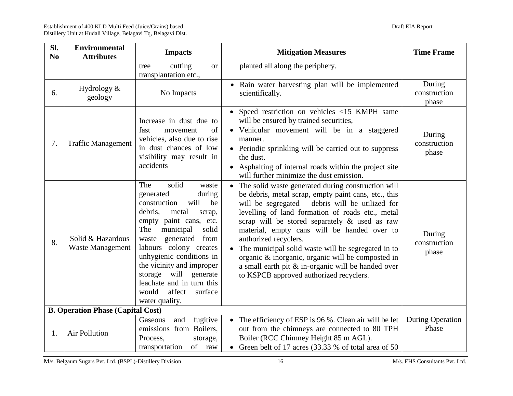| Sl.<br>N <sub>0</sub> | <b>Environmental</b><br><b>Attributes</b>    | <b>Impacts</b>                                                                                                                                                                                                                                                                                                                                                                      | <b>Mitigation Measures</b>                                                                                                                                                                                                                                                                                                                                                                                                                                                                                                                                           | <b>Time Frame</b>                |
|-----------------------|----------------------------------------------|-------------------------------------------------------------------------------------------------------------------------------------------------------------------------------------------------------------------------------------------------------------------------------------------------------------------------------------------------------------------------------------|----------------------------------------------------------------------------------------------------------------------------------------------------------------------------------------------------------------------------------------------------------------------------------------------------------------------------------------------------------------------------------------------------------------------------------------------------------------------------------------------------------------------------------------------------------------------|----------------------------------|
|                       |                                              | cutting<br>tree<br><b>or</b><br>transplantation etc.,                                                                                                                                                                                                                                                                                                                               | planted all along the periphery.                                                                                                                                                                                                                                                                                                                                                                                                                                                                                                                                     |                                  |
| 6.                    | Hydrology $\&$<br>geology                    | No Impacts                                                                                                                                                                                                                                                                                                                                                                          | • Rain water harvesting plan will be implemented<br>scientifically.                                                                                                                                                                                                                                                                                                                                                                                                                                                                                                  | During<br>construction<br>phase  |
| 7.                    | <b>Traffic Management</b>                    | Increase in dust due to<br>fast<br>of<br>movement<br>vehicles, also due to rise<br>in dust chances of low<br>visibility may result in<br>accidents                                                                                                                                                                                                                                  | • Speed restriction on vehicles $\langle 15 \text{ KMPH} \rangle$ same<br>will be ensured by trained securities,<br>• Vehicular movement will be in a staggered<br>manner.<br>• Periodic sprinkling will be carried out to suppress<br>the dust.<br>• Asphalting of internal roads within the project site<br>will further minimize the dust emission.                                                                                                                                                                                                               | During<br>construction<br>phase  |
| 8.                    | Solid & Hazardous<br><b>Waste Management</b> | The<br>solid<br>waste<br>during<br>generated<br>will<br>construction<br>be<br>debris,<br>metal<br>scrap,<br>empty paint cans, etc.<br>The<br>municipal<br>solid<br>waste generated<br>from<br>labours colony creates<br>unhygienic conditions in<br>the vicinity and improper<br>storage will generate<br>leachate and in turn this<br>would<br>affect<br>surface<br>water quality. | The solid waste generated during construction will<br>$\bullet$<br>be debris, metal scrap, empty paint cans, etc., this<br>will be segregated – debris will be utilized for<br>levelling of land formation of roads etc., metal<br>scrap will be stored separately & used as raw<br>material, empty cans will be handed over to<br>authorized recyclers.<br>The municipal solid waste will be segregated in to<br>organic & inorganic, organic will be composted in<br>a small earth pit & in-organic will be handed over<br>to KSPCB approved authorized recyclers. | During<br>construction<br>phase  |
|                       | <b>B. Operation Phase (Capital Cost)</b>     |                                                                                                                                                                                                                                                                                                                                                                                     |                                                                                                                                                                                                                                                                                                                                                                                                                                                                                                                                                                      |                                  |
| 1.                    | <b>Air Pollution</b>                         | fugitive<br>and<br>Gaseous<br>emissions from Boilers,<br>Process,<br>storage,<br>of raw<br>transportation                                                                                                                                                                                                                                                                           | • The efficiency of ESP is 96 %. Clean air will be let<br>out from the chimneys are connected to 80 TPH<br>Boiler (RCC Chimney Height 85 m AGL).<br>• Green belt of 17 acres (33.33 % of total area of 50                                                                                                                                                                                                                                                                                                                                                            | <b>During Operation</b><br>Phase |

M/s. Belgaum Sugars Pvt. Ltd. (BSPL)-Distillery Division 16 M/s. EHS Consultants Pvt. Ltd.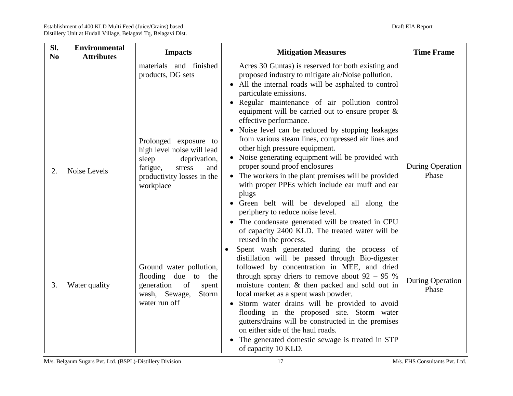| SI.<br>N <sub>0</sub> | <b>Environmental</b><br><b>Attributes</b> | <b>Impacts</b>                                                                                                                                       | <b>Mitigation Measures</b>                                                                                                                                                                                                                                                                                                                                                                                                                                                                                                                                                                                                                                                                                      | <b>Time Frame</b>                |
|-----------------------|-------------------------------------------|------------------------------------------------------------------------------------------------------------------------------------------------------|-----------------------------------------------------------------------------------------------------------------------------------------------------------------------------------------------------------------------------------------------------------------------------------------------------------------------------------------------------------------------------------------------------------------------------------------------------------------------------------------------------------------------------------------------------------------------------------------------------------------------------------------------------------------------------------------------------------------|----------------------------------|
|                       |                                           | materials and finished<br>products, DG sets                                                                                                          | Acres 30 Guntas) is reserved for both existing and<br>proposed industry to mitigate air/Noise pollution.<br>• All the internal roads will be asphalted to control<br>particulate emissions.<br>• Regular maintenance of air pollution control<br>equipment will be carried out to ensure proper $\&$<br>effective performance.                                                                                                                                                                                                                                                                                                                                                                                  |                                  |
| 2.                    | Noise Levels                              | Prolonged exposure to<br>high level noise will lead<br>sleep<br>deprivation,<br>fatigue,<br>stress<br>and<br>productivity losses in the<br>workplace | • Noise level can be reduced by stopping leakages<br>from various steam lines, compressed air lines and<br>other high pressure equipment.<br>• Noise generating equipment will be provided with<br>proper sound proof enclosures<br>• The workers in the plant premises will be provided<br>with proper PPEs which include ear muff and ear<br>plugs<br>• Green belt will be developed all along the<br>periphery to reduce noise level.                                                                                                                                                                                                                                                                        | During Operation<br>Phase        |
| 3.                    | Water quality                             | Ground water pollution,<br>flooding due<br>to<br>the<br>generation<br>of<br>spent<br>wash, Sewage,<br>Storm<br>water run off                         | • The condensate generated will be treated in CPU<br>of capacity 2400 KLD. The treated water will be<br>reused in the process.<br>Spent wash generated during the process of<br>distillation will be passed through Bio-digester<br>followed by concentration in MEE, and dried<br>through spray driers to remove about $92 - 95$ %<br>moisture content & then packed and sold out in<br>local market as a spent wash powder.<br>• Storm water drains will be provided to avoid<br>flooding in the proposed site. Storm water<br>gutters/drains will be constructed in the premises<br>on either side of the haul roads.<br>The generated domestic sewage is treated in STP<br>$\bullet$<br>of capacity 10 KLD. | <b>During Operation</b><br>Phase |

M/s. Belgaum Sugars Pvt. Ltd. (BSPL)-Distillery Division 17 17 M/s. EHS Consultants Pvt. Ltd.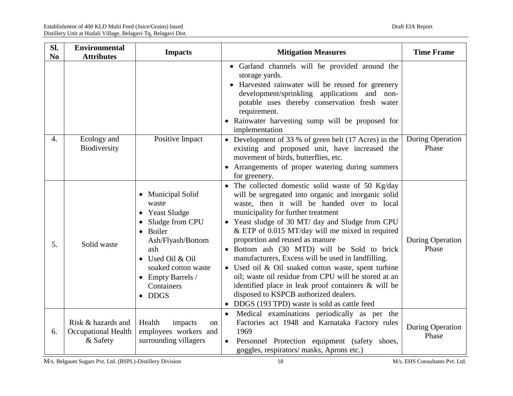| Sl.<br>N <sub>0</sub> | <b>Environmental</b><br><b>Attributes</b>                    | <b>Impacts</b>                                                                                                                                                                                                  | <b>Mitigation Measures</b>                                                                                                                                                                                                                                                                                                                                                                                                                                                                                                                                                                                                                                                                                   | <b>Time Frame</b>                |
|-----------------------|--------------------------------------------------------------|-----------------------------------------------------------------------------------------------------------------------------------------------------------------------------------------------------------------|--------------------------------------------------------------------------------------------------------------------------------------------------------------------------------------------------------------------------------------------------------------------------------------------------------------------------------------------------------------------------------------------------------------------------------------------------------------------------------------------------------------------------------------------------------------------------------------------------------------------------------------------------------------------------------------------------------------|----------------------------------|
|                       |                                                              |                                                                                                                                                                                                                 | • Garland channels will be provided around the<br>storage yards.<br>• Harvested rainwater will be reused for greenery<br>development/sprinkling applications and non-<br>potable uses thereby conservation fresh water<br>requirement.<br>• Rainwater harvesting sump will be proposed for<br>implementation                                                                                                                                                                                                                                                                                                                                                                                                 |                                  |
| 4.                    | Ecology and<br>Biodiversity                                  | Positive Impact                                                                                                                                                                                                 | • Development of 33 % of green belt (17 Acres) in the<br>existing and proposed unit, have increased the<br>movement of birds, butterflies, etc.<br>• Arrangements of proper watering during summers<br>for greenery.                                                                                                                                                                                                                                                                                                                                                                                                                                                                                         | <b>During Operation</b><br>Phase |
| 5.                    | Solid waste                                                  | • Municipal Solid<br>waste<br>• Yeast Sludge<br>• Sludge from CPU<br>Boiler<br>Ash/Flyash/Bottom<br>ash<br>• Used Oil & Oil<br>soaked cotton waste<br>$\bullet$ Empty Barrels /<br>Containers<br>$\bullet$ DDGS | • The collected domestic solid waste of 50 Kg/day<br>will be segregated into organic and inorganic solid<br>waste, then it will be handed over to local<br>municipality for further treatment<br>• Yeast sludge of 30 MT/ day and Sludge from CPU<br>& ETP of 0.015 MT/day will me mixed in required<br>proportion and reused as manure<br>· Bottom ash (30 MTD) will be Sold to brick<br>manufacturers, Excess will be used in landfilling.<br>• Used oil & Oil soaked cotton waste, spent turbine<br>oil; waste oil residue from CPU will be stored at an<br>identified place in leak proof containers & will be<br>disposed to KSPCB authorized dealers.<br>• DDGS (193 TPD) waste is sold as cattle feed | <b>During Operation</b><br>Phase |
| 6.                    | Risk & hazards and<br><b>Occupational Health</b><br>& Safety | Health<br>impacts<br><sub>on</sub><br>employees workers and<br>surrounding villagers                                                                                                                            | Medical examinations periodically as per the<br>$\bullet$<br>Factories act 1948 and Karnataka Factory rules<br>1969<br>Personnel Protection equipment (safety shoes,<br>$\bullet$<br>goggles, respirators/masks, Aprons etc.)                                                                                                                                                                                                                                                                                                                                                                                                                                                                                | <b>During Operation</b><br>Phase |

M/s. Belgaum Sugars Pvt. Ltd. (BSPL)-Distillery Division 18 M/s. EHS Consultants Pvt. Ltd.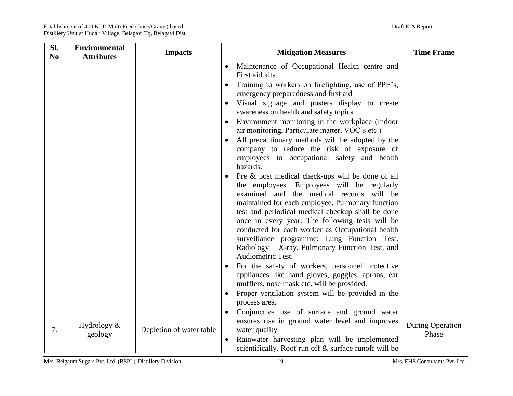| SI.<br>N <sub>0</sub> | <b>Environmental</b><br><b>Attributes</b> | <b>Impacts</b>           | <b>Mitigation Measures</b>                                                                                                                                                                                                                                                                                                                                                                                                                                                                                                                                                                                                                                                                                                                                                                                                                                                                                                                                                                                                                                                                                                                                                                                                                                                                    | <b>Time Frame</b>         |
|-----------------------|-------------------------------------------|--------------------------|-----------------------------------------------------------------------------------------------------------------------------------------------------------------------------------------------------------------------------------------------------------------------------------------------------------------------------------------------------------------------------------------------------------------------------------------------------------------------------------------------------------------------------------------------------------------------------------------------------------------------------------------------------------------------------------------------------------------------------------------------------------------------------------------------------------------------------------------------------------------------------------------------------------------------------------------------------------------------------------------------------------------------------------------------------------------------------------------------------------------------------------------------------------------------------------------------------------------------------------------------------------------------------------------------|---------------------------|
|                       |                                           |                          | Maintenance of Occupational Health centre and<br>$\bullet$<br>First aid kits<br>Training to workers on firefighting, use of PPE's,<br>emergency preparedness and first aid<br>Visual signage and posters display to create<br>awareness on health and safety topics<br>Environment monitoring in the workplace (Indoor<br>air monitoring, Particulate matter, VOC's etc.)<br>All precautionary methods will be adopted by the<br>$\bullet$<br>company to reduce the risk of exposure of<br>employees to occupational safety and health<br>hazards.<br>Pre & post medical check-ups will be done of all<br>$\bullet$<br>the employees. Employees will be regularly<br>examined and the medical records will be<br>maintained for each employee. Pulmonary function<br>test and periodical medical checkup shall be done<br>once in every year. The following tests will be<br>conducted for each worker as Occupational health<br>surveillance programme: Lung Function Test,<br>Radiology - X-ray, Pulmonary Function Test, and<br>Audiometric Test.<br>For the safety of workers, personnel protective<br>appliances like hand gloves, goggles, aprons, ear<br>mufflers, nose mask etc. will be provided.<br>Proper ventilation system will be provided in the<br>$\bullet$<br>process area. |                           |
| 7.                    | Hydrology $&$<br>geology                  | Depletion of water table | Conjunctive use of surface and ground water<br>$\bullet$<br>ensures rise in ground water level and improves<br>water quality<br>Rainwater harvesting plan will be implemented<br>$\bullet$<br>scientifically. Roof run off & surface runoff will be                                                                                                                                                                                                                                                                                                                                                                                                                                                                                                                                                                                                                                                                                                                                                                                                                                                                                                                                                                                                                                           | During Operation<br>Phase |

M/s. Belgaum Sugars Pvt. Ltd. (BSPL)-Distillery Division 19 M/s. EHS Consultants Pvt. Ltd.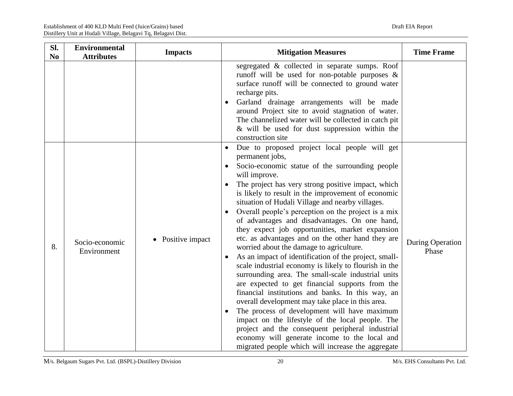| Sl.<br>N <sub>0</sub> | <b>Environmental</b><br><b>Attributes</b> | <b>Impacts</b>               | <b>Mitigation Measures</b>                                                                                                                                                                                                                                                                                                                                                                                                                                                                                                                                                                                                                                                                                                                                                                                                                                                                                                                                                                                                                                                                                                                                                                                                          | <b>Time Frame</b>                |
|-----------------------|-------------------------------------------|------------------------------|-------------------------------------------------------------------------------------------------------------------------------------------------------------------------------------------------------------------------------------------------------------------------------------------------------------------------------------------------------------------------------------------------------------------------------------------------------------------------------------------------------------------------------------------------------------------------------------------------------------------------------------------------------------------------------------------------------------------------------------------------------------------------------------------------------------------------------------------------------------------------------------------------------------------------------------------------------------------------------------------------------------------------------------------------------------------------------------------------------------------------------------------------------------------------------------------------------------------------------------|----------------------------------|
|                       |                                           |                              | segregated & collected in separate sumps. Roof<br>runoff will be used for non-potable purposes $\&$<br>surface runoff will be connected to ground water<br>recharge pits.<br>Garland drainage arrangements will be made<br>$\bullet$<br>around Project site to avoid stagnation of water.<br>The channelized water will be collected in catch pit<br>& will be used for dust suppression within the<br>construction site                                                                                                                                                                                                                                                                                                                                                                                                                                                                                                                                                                                                                                                                                                                                                                                                            |                                  |
| 8.                    | Socio-economic<br>Environment             | Positive impact<br>$\bullet$ | Due to proposed project local people will get<br>$\bullet$<br>permanent jobs,<br>Socio-economic statue of the surrounding people<br>will improve.<br>The project has very strong positive impact, which<br>$\bullet$<br>is likely to result in the improvement of economic<br>situation of Hudali Village and nearby villages.<br>Overall people's perception on the project is a mix<br>$\bullet$<br>of advantages and disadvantages. On one hand,<br>they expect job opportunities, market expansion<br>etc. as advantages and on the other hand they are<br>worried about the damage to agriculture.<br>As an impact of identification of the project, small-<br>$\bullet$<br>scale industrial economy is likely to flourish in the<br>surrounding area. The small-scale industrial units<br>are expected to get financial supports from the<br>financial institutions and banks. In this way, an<br>overall development may take place in this area.<br>The process of development will have maximum<br>$\bullet$<br>impact on the lifestyle of the local people. The<br>project and the consequent peripheral industrial<br>economy will generate income to the local and<br>migrated people which will increase the aggregate | <b>During Operation</b><br>Phase |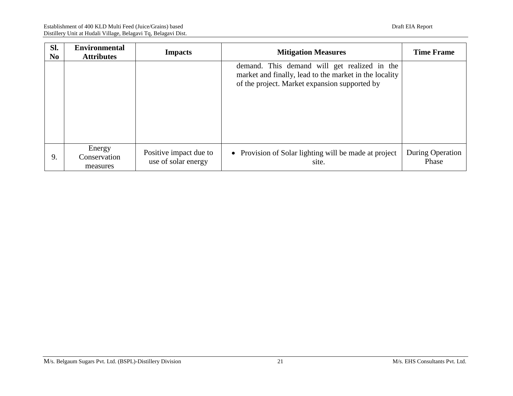| SI.<br>N <sub>0</sub> | <b>Environmental</b><br><b>Attributes</b> | <b>Impacts</b>                                | <b>Mitigation Measures</b>                                                                                                                              | <b>Time Frame</b>         |
|-----------------------|-------------------------------------------|-----------------------------------------------|---------------------------------------------------------------------------------------------------------------------------------------------------------|---------------------------|
|                       |                                           |                                               | demand. This demand will get realized in the<br>market and finally, lead to the market in the locality<br>of the project. Market expansion supported by |                           |
| 9.                    | Energy<br>Conservation<br>measures        | Positive impact due to<br>use of solar energy | • Provision of Solar lighting will be made at project<br>site.                                                                                          | During Operation<br>Phase |